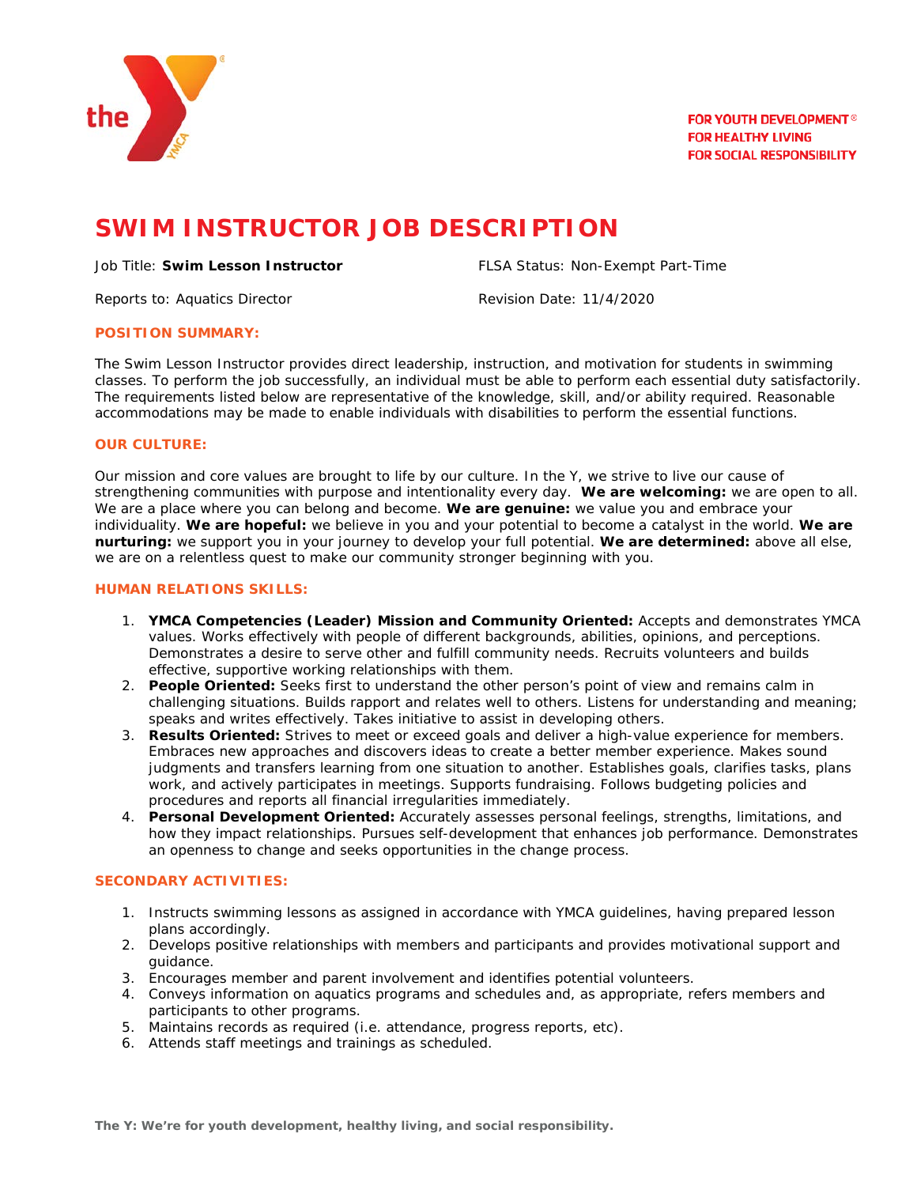

# **SWIM INSTRUCTOR JOB DESCRIPTION**

#### Job Title: **Swim Lesson Instructor** FLSA Status: Non-Exempt Part-Time

Reports to: Aquatics Director **Revision Date: 11/4/2020** 

## **POSITION SUMMARY:**

The Swim Lesson Instructor provides direct leadership, instruction, and motivation for students in swimming classes. To perform the job successfully, an individual must be able to perform each essential duty satisfactorily. The requirements listed below are representative of the knowledge, skill, and/or ability required. Reasonable accommodations may be made to enable individuals with disabilities to perform the essential functions.

# **OUR CULTURE:**

Our mission and core values are brought to life by our culture. In the Y, we strive to live our cause of strengthening communities with purpose and intentionality every day. **We are welcoming:** we are open to all. We are a place where you can belong and become. **We are genuine:** we value you and embrace your individuality. **We are hopeful:** we believe in you and your potential to become a catalyst in the world. **We are nurturing:** we support you in your journey to develop your full potential. **We are determined:** above all else, we are on a relentless quest to make our community stronger beginning with you.

## **HUMAN RELATIONS SKILLS:**

- 1. **YMCA Competencies (Leader) Mission and Community Oriented:** Accepts and demonstrates YMCA values. Works effectively with people of different backgrounds, abilities, opinions, and perceptions. Demonstrates a desire to serve other and fulfill community needs. Recruits volunteers and builds effective, supportive working relationships with them.
- 2. **People Oriented:** Seeks first to understand the other person's point of view and remains calm in challenging situations. Builds rapport and relates well to others. Listens for understanding and meaning; speaks and writes effectively. Takes initiative to assist in developing others.
- 3. **Results Oriented:** Strives to meet or exceed goals and deliver a high-value experience for members. Embraces new approaches and discovers ideas to create a better member experience. Makes sound judgments and transfers learning from one situation to another. Establishes goals, clarifies tasks, plans work, and actively participates in meetings. Supports fundraising. Follows budgeting policies and procedures and reports all financial irregularities immediately.
- 4. **Personal Development Oriented:** Accurately assesses personal feelings, strengths, limitations, and how they impact relationships. Pursues self-development that enhances job performance. Demonstrates an openness to change and seeks opportunities in the change process.

# **SECONDARY ACTIVITIES:**

- 1. Instructs swimming lessons as assigned in accordance with YMCA guidelines, having prepared lesson plans accordingly.
- 2. Develops positive relationships with members and participants and provides motivational support and guidance.
- 3. Encourages member and parent involvement and identifies potential volunteers.
- 4. Conveys information on aquatics programs and schedules and, as appropriate, refers members and participants to other programs.
- 5. Maintains records as required (i.e. attendance, progress reports, etc).
- 6. Attends staff meetings and trainings as scheduled.